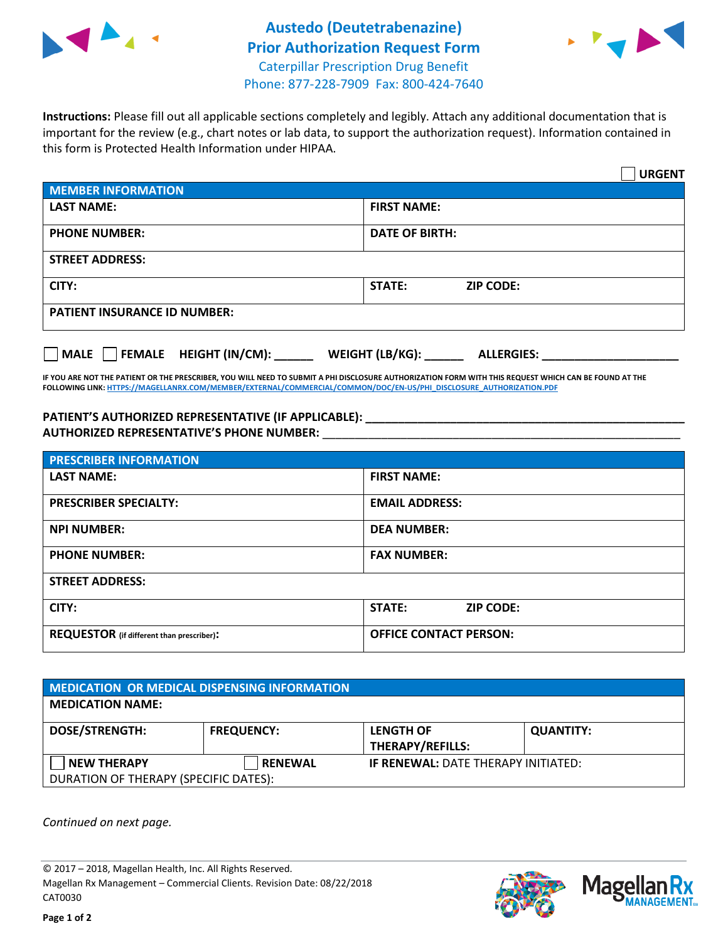



**Instructions:** Please fill out all applicable sections completely and legibly. Attach any additional documentation that is important for the review (e.g., chart notes or lab data, to support the authorization request). Information contained in this form is Protected Health Information under HIPAA.

|                                                | <b>URGENT</b>                        |  |  |  |
|------------------------------------------------|--------------------------------------|--|--|--|
| <b>MEMBER INFORMATION</b>                      |                                      |  |  |  |
| <b>LAST NAME:</b>                              | <b>FIRST NAME:</b>                   |  |  |  |
| <b>PHONE NUMBER:</b>                           | <b>DATE OF BIRTH:</b>                |  |  |  |
| <b>STREET ADDRESS:</b>                         |                                      |  |  |  |
| CITY:                                          | <b>STATE:</b><br><b>ZIP CODE:</b>    |  |  |  |
| <b>PATIENT INSURANCE ID NUMBER:</b>            |                                      |  |  |  |
| $\Box$ FEMALE HEIGHT (IN/CM): _<br><b>MALE</b> | WEIGHT (LB/KG):<br><b>ALLERGIES:</b> |  |  |  |

**IF YOU ARE NOT THE PATIENT OR THE PRESCRIBER, YOU WILL NEED TO SUBMIT A PHI DISCLOSURE AUTHORIZATION FORM WITH THIS REQUEST WHICH CAN BE FOUND AT THE FOLLOWING LINK[: HTTPS://MAGELLANRX.COM/MEMBER/EXTERNAL/COMMERCIAL/COMMON/DOC/EN-US/PHI\\_DISCLOSURE\\_AUTHORIZATION.PDF](https://magellanrx.com/member/external/commercial/common/doc/en-us/PHI_Disclosure_Authorization.pdf)**

**PATIENT'S AUTHORIZED REPRESENTATIVE (IF APPLICABLE): \_\_\_\_\_\_\_\_\_\_\_\_\_\_\_\_\_\_\_\_\_\_\_\_\_\_\_\_\_\_\_\_\_\_\_\_\_\_\_\_\_\_\_\_\_\_\_\_\_ AUTHORIZED REPRESENTATIVE'S PHONE NUMBER:** \_\_\_\_\_\_\_\_\_\_\_\_\_\_\_\_\_\_\_\_\_\_\_\_\_\_\_\_\_\_\_\_\_\_\_\_\_\_\_\_\_\_\_\_\_\_\_\_\_\_\_\_\_\_\_

| <b>PRESCRIBER INFORMATION</b>             |                               |  |  |  |
|-------------------------------------------|-------------------------------|--|--|--|
| <b>LAST NAME:</b>                         | <b>FIRST NAME:</b>            |  |  |  |
| <b>PRESCRIBER SPECIALTY:</b>              | <b>EMAIL ADDRESS:</b>         |  |  |  |
| <b>NPI NUMBER:</b>                        | <b>DEA NUMBER:</b>            |  |  |  |
| <b>PHONE NUMBER:</b>                      | <b>FAX NUMBER:</b>            |  |  |  |
| <b>STREET ADDRESS:</b>                    |                               |  |  |  |
| CITY:                                     | STATE:<br><b>ZIP CODE:</b>    |  |  |  |
| REQUESTOR (if different than prescriber): | <b>OFFICE CONTACT PERSON:</b> |  |  |  |

| <b>MEDICATION OR MEDICAL DISPENSING INFORMATION</b> |                   |                                            |                  |  |  |
|-----------------------------------------------------|-------------------|--------------------------------------------|------------------|--|--|
| <b>MEDICATION NAME:</b>                             |                   |                                            |                  |  |  |
| <b>DOSE/STRENGTH:</b>                               | <b>FREQUENCY:</b> | <b>LENGTH OF</b>                           | <b>QUANTITY:</b> |  |  |
|                                                     |                   | <b>THERAPY/REFILLS:</b>                    |                  |  |  |
| <b>NEW THERAPY</b>                                  | <b>RENEWAL</b>    | <b>IF RENEWAL: DATE THERAPY INITIATED:</b> |                  |  |  |
| DURATION OF THERAPY (SPECIFIC DATES):               |                   |                                            |                  |  |  |

*Continued on next page.*

© 2017 – 2018, Magellan Health, Inc. All Rights Reserved. Magellan Rx Management – Commercial Clients. Revision Date: 08/22/2018 CAT0030